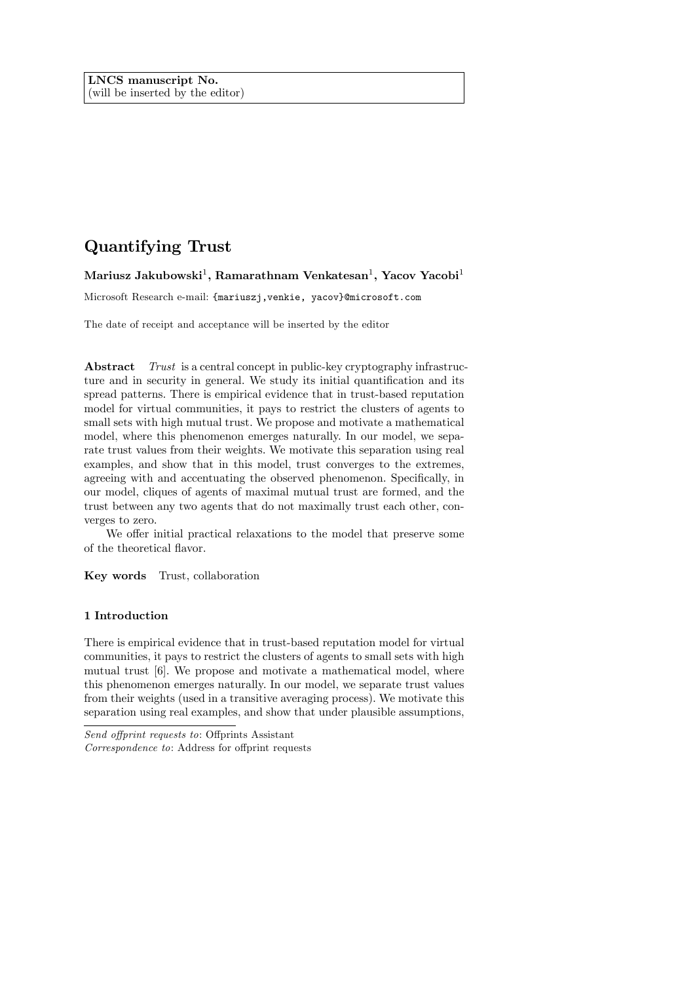# Quantifying Trust

Mariusz Jakubowski $^1$ , Ramarathnam Venkatesan $^1$ , Yacov Yacobi $^1$ 

Microsoft Research e-mail: {mariuszj,venkie, yacov}@microsoft.com

The date of receipt and acceptance will be inserted by the editor

Abstract Trust is a central concept in public-key cryptography infrastructure and in security in general. We study its initial quantification and its spread patterns. There is empirical evidence that in trust-based reputation model for virtual communities, it pays to restrict the clusters of agents to small sets with high mutual trust. We propose and motivate a mathematical model, where this phenomenon emerges naturally. In our model, we separate trust values from their weights. We motivate this separation using real examples, and show that in this model, trust converges to the extremes, agreeing with and accentuating the observed phenomenon. Specifically, in our model, cliques of agents of maximal mutual trust are formed, and the trust between any two agents that do not maximally trust each other, converges to zero.

We offer initial practical relaxations to the model that preserve some of the theoretical áavor.

Key words Trust, collaboration

## 1 Introduction

There is empirical evidence that in trust-based reputation model for virtual communities, it pays to restrict the clusters of agents to small sets with high mutual trust [6]. We propose and motivate a mathematical model, where this phenomenon emerges naturally. In our model, we separate trust values from their weights (used in a transitive averaging process). We motivate this separation using real examples, and show that under plausible assumptions,

Send offprint requests to: Offprints Assistant  $Correspondence to: Address for of$ form requests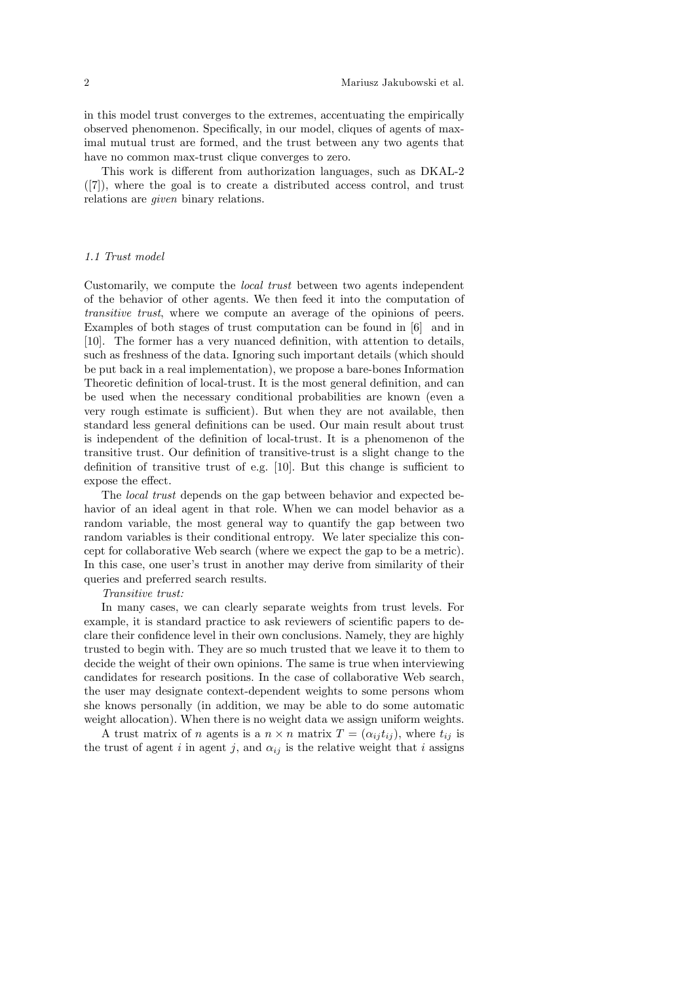in this model trust converges to the extremes, accentuating the empirically observed phenomenon. Specifically, in our model, cliques of agents of maximal mutual trust are formed, and the trust between any two agents that have no common max-trust clique converges to zero.

This work is different from authorization languages, such as DKAL-2 ([7]), where the goal is to create a distributed access control, and trust relations are given binary relations.

#### 1.1 Trust model

Customarily, we compute the local trust between two agents independent of the behavior of other agents. We then feed it into the computation of transitive trust, where we compute an average of the opinions of peers. Examples of both stages of trust computation can be found in [6] and in [10]. The former has a very nuanced definition, with attention to details, such as freshness of the data. Ignoring such important details (which should be put back in a real implementation), we propose a bare-bones Information Theoretic definition of local-trust. It is the most general definition, and can be used when the necessary conditional probabilities are known (even a very rough estimate is sufficient). But when they are not available, then standard less general definitions can be used. Our main result about trust is independent of the definition of local-trust. It is a phenomenon of the transitive trust. Our definition of transitive-trust is a slight change to the definition of transitive trust of e.g.  $[10]$ . But this change is sufficient to expose the effect.

The local trust depends on the gap between behavior and expected behavior of an ideal agent in that role. When we can model behavior as a random variable, the most general way to quantify the gap between two random variables is their conditional entropy. We later specialize this concept for collaborative Web search (where we expect the gap to be a metric). In this case, one user's trust in another may derive from similarity of their queries and preferred search results.

#### Transitive trust:

In many cases, we can clearly separate weights from trust levels. For example, it is standard practice to ask reviewers of scientific papers to declare their confidence level in their own conclusions. Namely, they are highly trusted to begin with. They are so much trusted that we leave it to them to decide the weight of their own opinions. The same is true when interviewing candidates for research positions. In the case of collaborative Web search, the user may designate context-dependent weights to some persons whom she knows personally (in addition, we may be able to do some automatic weight allocation). When there is no weight data we assign uniform weights.

A trust matrix of *n* agents is a  $n \times n$  matrix  $T = (\alpha_{ij} t_{ij})$ , where  $t_{ij}$  is the trust of agent i in agent j, and  $\alpha_{ij}$  is the relative weight that i assigns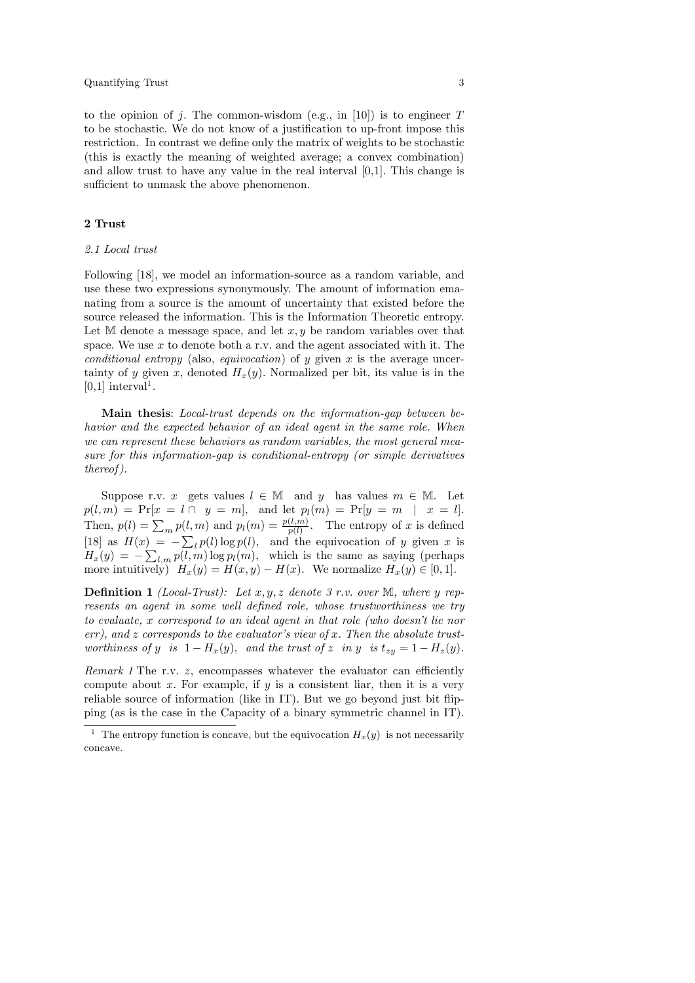to the opinion of j. The common-wisdom (e.g., in [10]) is to engineer  $T$ to be stochastic. We do not know of a justification to up-front impose this restriction. In contrast we define only the matrix of weights to be stochastic (this is exactly the meaning of weighted average; a convex combination) and allow trust to have any value in the real interval [0,1]. This change is sufficient to unmask the above phenomenon.

# 2 Trust

## 2.1 Local trust

Following [18], we model an information-source as a random variable, and use these two expressions synonymously. The amount of information emanating from a source is the amount of uncertainty that existed before the source released the information. This is the Information Theoretic entropy. Let M denote a message space, and let  $x, y$  be random variables over that space. We use  $x$  to denote both a r.v. and the agent associated with it. The conditional entropy (also, equivocation) of y given x is the average uncertainty of y given x, denoted  $H_x(y)$ . Normalized per bit, its value is in the  $[0,1]$  interval<sup>1</sup>.

Main thesis: Local-trust depends on the information-gap between behavior and the expected behavior of an ideal agent in the same role. When we can represent these behaviors as random variables, the most general measure for this information-gap is conditional-entropy (or simple derivatives thereof ).

Suppose r.v. x gets values  $l \in \mathbb{M}$  and y has values  $m \in \mathbb{M}$ . Let  $p(l,m) = Pr[x = l \cap y = m],$  and let  $p_l(m) = Pr[y = m | x = l].$ Then,  $p(l) = \sum_m p(l,m)$  and  $p_l(m) = \frac{p(l,m)}{p(l)}$ . The entropy of x is defined [18] as  $H(x) = -\sum_l p(l) \log p(l)$ , and the equivocation of y given x is  $H_x(y) = -\sum_{l,m} p(l,m) \log p_l(m)$ , which is the same as saying (perhaps more intuitively)  $H_x(y) = H(x, y) - H(x)$ . We normalize  $H_x(y) \in [0, 1]$ .

**Definition 1** (Local-Trust): Let  $x, y, z$  denote 3 r.v. over M, where y represents an agent in some well defined role, whose trustworthiness we try to evaluate,  $x$  correspond to an ideal agent in that role (who doesn't lie nor err), and z corresponds to the evaluator's view of x. Then the absolute trustworthiness of y is  $1 - H_x(y)$ , and the trust of z in y is  $t_{zy} = 1 - H_z(y)$ .

Remark 1 The r.v.  $z$ , encompasses whatever the evaluator can efficiently compute about x. For example, if y is a consistent liar, then it is a very reliable source of information (like in IT). But we go beyond just bit flipping (as is the case in the Capacity of a binary symmetric channel in IT).

<sup>&</sup>lt;sup>1</sup> The entropy function is concave, but the equivocation  $H_x(y)$  is not necessarily concave.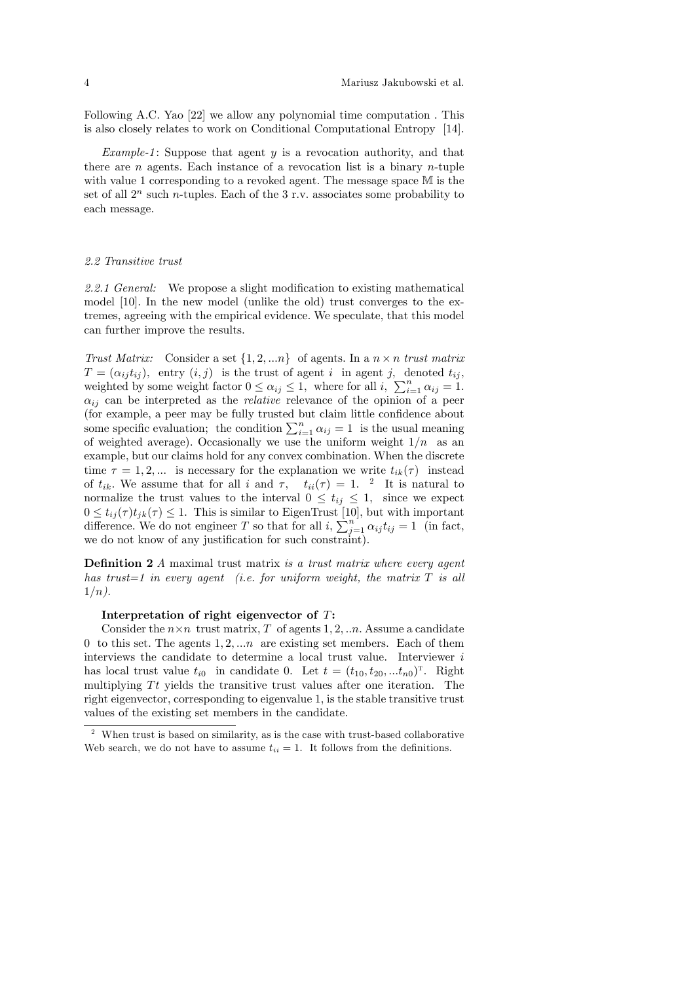Following A.C. Yao [22] we allow any polynomial time computation . This is also closely relates to work on Conditional Computational Entropy [14].

*Example-1*: Suppose that agent  $y$  is a revocation authority, and that there are  $n$  agents. Each instance of a revocation list is a binary  $n$ -tuple with value 1 corresponding to a revoked agent. The message space M is the set of all  $2^n$  such *n*-tuples. Each of the 3 r.v. associates some probability to each message.

#### 2.2 Transitive trust

2.2.1 General: We propose a slight modification to existing mathematical model [10]. In the new model (unlike the old) trust converges to the extremes, agreeing with the empirical evidence. We speculate, that this model can further improve the results.

Trust Matrix: Consider a set  $\{1, 2, \ldots n\}$  of agents. In a  $n \times n$  trust matrix  $T = (\alpha_{ij} t_{ij})$ , entry  $(i, j)$  is the trust of agent i in agent j, denoted  $t_{ij}$ , weighted by some weight factor  $0 \le \alpha_{ij} \le 1$ , where for all i,  $\sum_{i=1}^{n} \alpha_{ij} = 1$ .  $\alpha_{ij}$  can be interpreted as the *relative* relevance of the opinion of a peer (for example, a peer may be fully trusted but claim little confidence about some specific evaluation; the condition  $\sum_{i=1}^{n} \alpha_{ij} = 1$  is the usual meaning of weighted average). Occasionally we use the uniform weight  $1/n$  as an example, but our claims hold for any convex combination. When the discrete time  $\tau = 1, 2, ...$  is necessary for the explanation we write  $t_{ik}(\tau)$  instead of  $t_{ik}$ . We assume that for all i and  $\tau$ ,  $t_{ii}(\tau) = 1$ . <sup>2</sup> It is natural to normalize the trust values to the interval  $0 \leq t_{ij} \leq 1$ , since we expect  $0 \leq t_{ij}(\tau) t_{jk}(\tau) \leq 1.$  This is similar to EigenTrust [10], but with important difference. We do not engineer T so that for all  $i$ ,  $\sum_{j=1}^{n} \alpha_{ij} t_{ij} = 1$  (in fact, we do not know of any justification for such constraint).

**Definition 2**  $\vec{A}$  maximal trust matrix is a trust matrix where every agent has trust=1 in every agent (i.e. for uniform weight, the matrix  $T$  is all  $1/n$ ).

#### Interpretation of right eigenvector of T:

Consider the  $n \times n$  trust matrix, T of agents 1, 2, ... Assume a candidate 0 to this set. The agents  $1, 2, \ldots n$  are existing set members. Each of them interviews the candidate to determine a local trust value. Interviewer  $i$ has local trust value  $t_{i0}$  in candidate 0. Let  $t = (t_{10}, t_{20}, ... t_{n0})^T$ . Right multiplying  $T_t$  yields the transitive trust values after one iteration. The right eigenvector, corresponding to eigenvalue 1, is the stable transitive trust values of the existing set members in the candidate.

<sup>&</sup>lt;sup>2</sup> When trust is based on similarity, as is the case with trust-based collaborative Web search, we do not have to assume  $t_{ii} = 1$ . It follows from the definitions.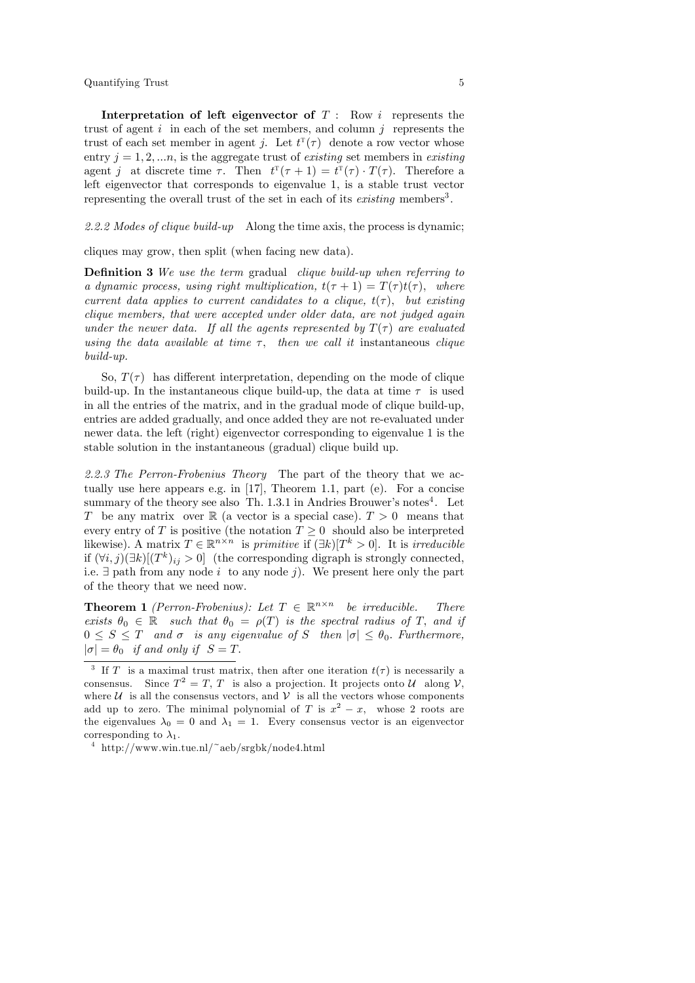Quantifying Trust 5

Interpretation of left eigenvector of  $T: Row i$  represents the trust of agent  $i$  in each of the set members, and column  $j$  represents the trust of each set member in agent j. Let  $t^{T}(\tau)$  denote a row vector whose entry  $j = 1, 2, \ldots n$ , is the aggregate trust of *existing* set members in *existing* agent j at discrete time  $\tau$ . Then  $t^{T}(\tau+1) = t^{T}(\tau) \cdot T(\tau)$ . Therefore a left eigenvector that corresponds to eigenvalue 1, is a stable trust vector representing the overall trust of the set in each of its *existing* members<sup>3</sup>.

2.2.2 Modes of clique build-up Along the time axis, the process is dynamic;

cliques may grow, then split (when facing new data).

Definition 3 We use the term gradual clique build-up when referring to a dynamic process, using right multiplication,  $t(\tau + 1) = T(\tau)t(\tau)$ , where current data applies to current candidates to a clique,  $t(\tau)$ , but existing clique members, that were accepted under older data, are not judged again under the newer data. If all the agents represented by  $T(\tau)$  are evaluated using the data available at time  $\tau$ , then we call it instantaneous clique build-up.

So,  $T(\tau)$  has different interpretation, depending on the mode of clique build-up. In the instantaneous clique build-up, the data at time  $\tau$  is used in all the entries of the matrix, and in the gradual mode of clique build-up, entries are added gradually, and once added they are not re-evaluated under newer data. the left (right) eigenvector corresponding to eigenvalue 1 is the stable solution in the instantaneous (gradual) clique build up.

2.2.3 The Perron-Frobenius Theory The part of the theory that we actually use here appears e.g. in [17], Theorem 1.1, part (e). For a concise summary of the theory see also Th. 1.3.1 in Andries Brouwer's notes<sup>4</sup>. Let T be any matrix over  $\mathbb R$  (a vector is a special case).  $T > 0$  means that every entry of T is positive (the notation  $T \geq 0$  should also be interpreted likewise). A matrix  $T \in \mathbb{R}^{n \times n}$  is primitive if  $(\exists k)[T^k > 0]$ . It is irreducible if  $(\forall i, j)(\exists k)[(T^k)_{ij} > 0]$  (the corresponding digraph is strongly connected, i.e.  $\exists$  path from any node i to any node j). We present here only the part of the theory that we need now.

**Theorem 1** (Perron-Frobenius): Let  $T \in \mathbb{R}^{n \times n}$  be irreducible. There exists  $\theta_0 \in \mathbb{R}$  such that  $\theta_0 = \rho(T)$  is the spectral radius of T, and if  $0 \leq S \leq T$  and  $\sigma$  is any eigenvalue of S then  $|\sigma| \leq \theta_0$ . Furthermore,  $|\sigma| = \theta_0$  if and only if  $S = T$ .

<sup>&</sup>lt;sup>3</sup> If T is a maximal trust matrix, then after one iteration  $t(\tau)$  is necessarily a consensus. Since  $T^2 = T$ , T is also a projection. It projects onto U along V, where  $\mathcal U$  is all the consensus vectors, and  $\mathcal V$  is all the vectors whose components add up to zero. The minimal polynomial of T is  $x^2 - x$ , whose 2 roots are the eigenvalues  $\lambda_0 = 0$  and  $\lambda_1 = 1$ . Every consensus vector is an eigenvector corresponding to  $\lambda_1$ .

<sup>4</sup> http://www.win.tue.nl/~aeb/srgbk/node4.html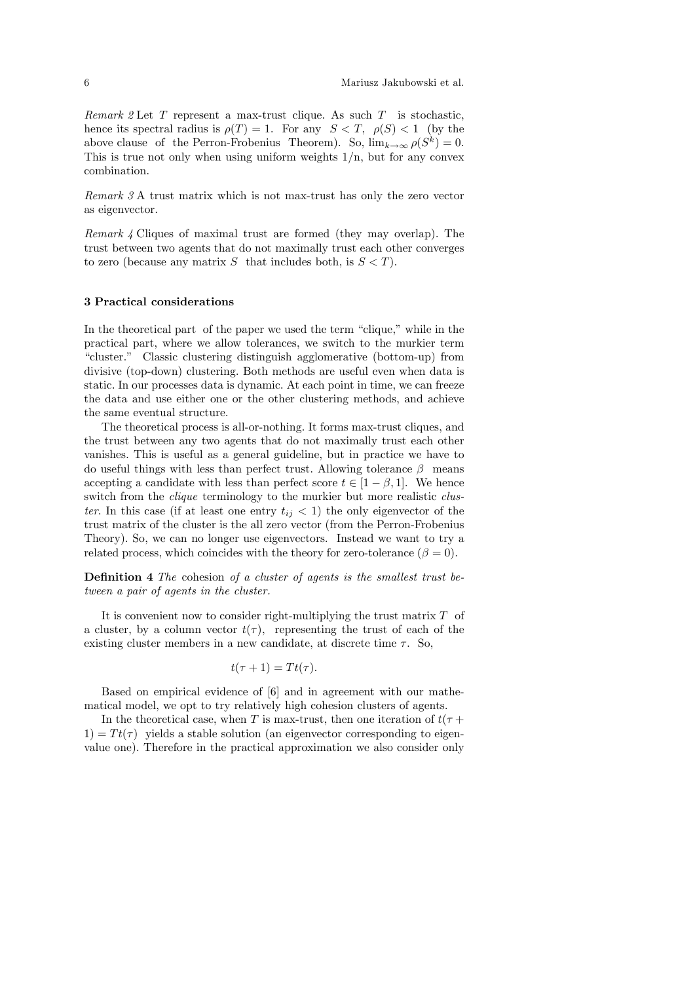Remark 2 Let  $T$  represent a max-trust clique. As such  $T$  is stochastic, hence its spectral radius is  $\rho(T) = 1$ . For any  $S < T$ ,  $\rho(S) < 1$  (by the above clause of the Perron-Frobenius Theorem). So,  $\lim_{k\to\infty} \rho(S^k) = 0$ . This is true not only when using uniform weights  $1/n$ , but for any convex combination.

Remark 3 A trust matrix which is not max-trust has only the zero vector as eigenvector.

Remark 4 Cliques of maximal trust are formed (they may overlap). The trust between two agents that do not maximally trust each other converges to zero (because any matrix S that includes both, is  $S < T$ ).

#### 3 Practical considerations

In the theoretical part of the paper we used the term "clique," while in the practical part, where we allow tolerances, we switch to the murkier term ìcluster.î Classic clustering distinguish agglomerative (bottom-up) from divisive (top-down) clustering. Both methods are useful even when data is static. In our processes data is dynamic. At each point in time, we can freeze the data and use either one or the other clustering methods, and achieve the same eventual structure.

The theoretical process is all-or-nothing. It forms max-trust cliques, and the trust between any two agents that do not maximally trust each other vanishes. This is useful as a general guideline, but in practice we have to do useful things with less than perfect trust. Allowing tolerance  $\beta$  means accepting a candidate with less than perfect score  $t \in [1 - \beta, 1]$ . We hence switch from the *clique* terminology to the murkier but more realistic *clus*ter. In this case (if at least one entry  $t_{ij} < 1$ ) the only eigenvector of the trust matrix of the cluster is the all zero vector (from the Perron-Frobenius Theory). So, we can no longer use eigenvectors. Instead we want to try a related process, which coincides with the theory for zero-tolerance  $(\beta = 0)$ .

**Definition 4** The cohesion of a cluster of agents is the smallest trust between a pair of agents in the cluster.

It is convenient now to consider right-multiplying the trust matrix  $T$  of a cluster, by a column vector  $t(\tau)$ , representing the trust of each of the existing cluster members in a new candidate, at discrete time  $\tau$ . So,

$$
t(\tau+1)=Tt(\tau).
$$

Based on empirical evidence of [6] and in agreement with our mathematical model, we opt to try relatively high cohesion clusters of agents.

In the theoretical case, when T is max-trust, then one iteration of  $t(\tau +$  $1) = T t(\tau)$  yields a stable solution (an eigenvector corresponding to eigenvalue one). Therefore in the practical approximation we also consider only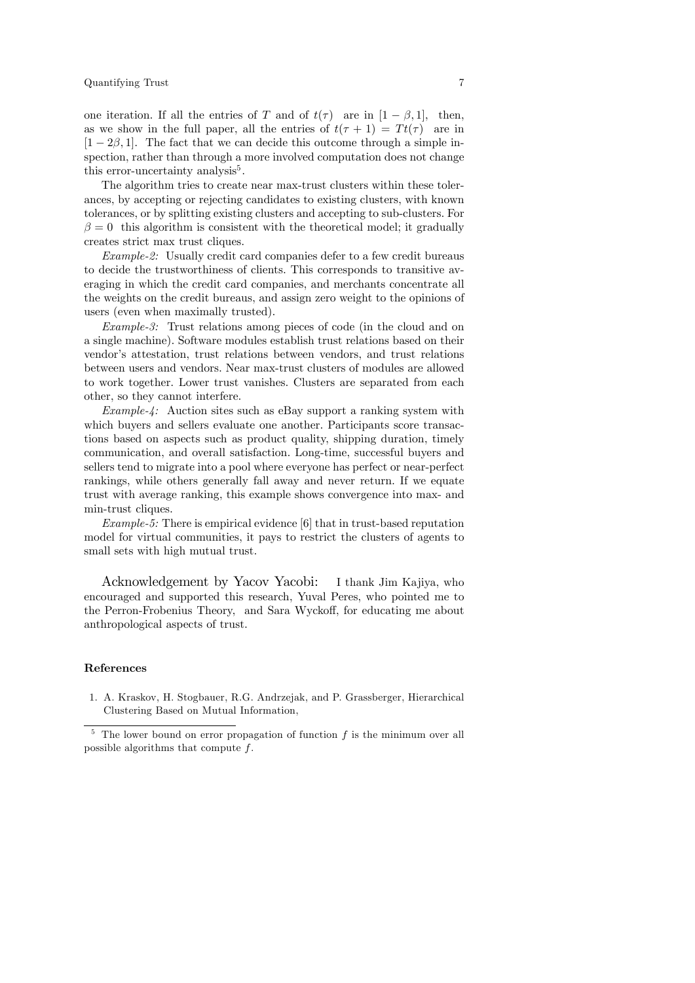one iteration. If all the entries of T and of  $t(\tau)$  are in  $[1-\beta,1]$ , then, as we show in the full paper, all the entries of  $t(\tau + 1) = Tt(\tau)$  are in  $[1 - 2\beta, 1]$ . The fact that we can decide this outcome through a simple inspection, rather than through a more involved computation does not change this error-uncertainty analysis<sup>5</sup>.

The algorithm tries to create near max-trust clusters within these tolerances, by accepting or rejecting candidates to existing clusters, with known tolerances, or by splitting existing clusters and accepting to sub-clusters. For  $\beta = 0$  this algorithm is consistent with the theoretical model; it gradually creates strict max trust cliques.

Example-2: Usually credit card companies defer to a few credit bureaus to decide the trustworthiness of clients. This corresponds to transitive averaging in which the credit card companies, and merchants concentrate all the weights on the credit bureaus, and assign zero weight to the opinions of users (even when maximally trusted).

Example-3: Trust relations among pieces of code (in the cloud and on a single machine). Software modules establish trust relations based on their vendor's attestation, trust relations between vendors, and trust relations between users and vendors. Near max-trust clusters of modules are allowed to work together. Lower trust vanishes. Clusters are separated from each other, so they cannot interfere.

Example-4: Auction sites such as eBay support a ranking system with which buyers and sellers evaluate one another. Participants score transactions based on aspects such as product quality, shipping duration, timely communication, and overall satisfaction. Long-time, successful buyers and sellers tend to migrate into a pool where everyone has perfect or near-perfect rankings, while others generally fall away and never return. If we equate trust with average ranking, this example shows convergence into max- and min-trust cliques.

Example-5: There is empirical evidence [6] that in trust-based reputation model for virtual communities, it pays to restrict the clusters of agents to small sets with high mutual trust.

Acknowledgement by Yacov Yacobi: I thank Jim Kajiya, who encouraged and supported this research, Yuval Peres, who pointed me to the Perron-Frobenius Theory, and Sara Wyckoff, for educating me about anthropological aspects of trust.

#### References

1. A. Kraskov, H. Stogbauer, R.G. Andrzejak, and P. Grassberger, Hierarchical Clustering Based on Mutual Information,

 $5$  The lower bound on error propagation of function f is the minimum over all possible algorithms that compute f.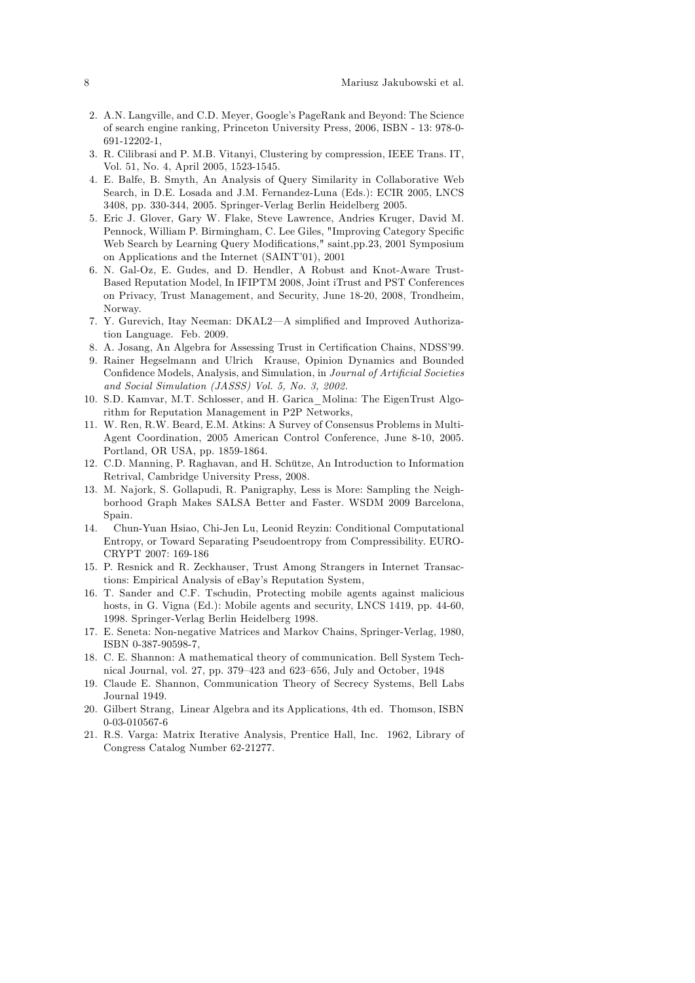- 2. A.N. Langville, and C.D. Meyer, Google's PageRank and Beyond: The Science of search engine ranking, Princeton University Press, 2006, ISBN - 13: 978-0- 691-12202-1,
- 3. R. Cilibrasi and P. M.B. Vitanyi, Clustering by compression, IEEE Trans. IT, Vol. 51, No. 4, April 2005, 1523-1545.
- 4. E. Balfe, B. Smyth, An Analysis of Query Similarity in Collaborative Web Search, in D.E. Losada and J.M. Fernandez-Luna (Eds.): ECIR 2005, LNCS 3408, pp. 330-344, 2005. Springer-Verlag Berlin Heidelberg 2005.
- 5. Eric J. Glover, Gary W. Flake, Steve Lawrence, Andries Kruger, David M. Pennock, William P. Birmingham, C. Lee Giles, "Improving Category Specific Web Search by Learning Query Modifications," saint,pp.23, 2001 Symposium on Applications and the Internet (SAINT'01), 2001
- 6. N. Gal-Oz, E. Gudes, and D. Hendler, A Robust and Knot-Aware Trust-Based Reputation Model, In IFIPTM 2008, Joint iTrust and PST Conferences on Privacy, Trust Management, and Security, June 18-20, 2008, Trondheim, Norway.
- 7. Y. Gurevich, Itay Neeman: DKAL2—A simplified and Improved Authorization Language. Feb. 2009.
- 8. A. Josang, An Algebra for Assessing Trust in Certification Chains, NDSS'99.
- 9. Rainer Hegselmann and Ulrich Krause, Opinion Dynamics and Bounded Confidence Models, Analysis, and Simulation, in Journal of Artificial Societies and Social Simulation (JASSS) Vol. 5, No. 3, 2002.
- 10. S.D. Kamvar, M.T. Schlosser, and H. Garica\_Molina: The EigenTrust Algorithm for Reputation Management in P2P Networks,
- 11. W. Ren, R.W. Beard, E.M. Atkins: A Survey of Consensus Problems in Multi-Agent Coordination, 2005 American Control Conference, June 8-10, 2005. Portland, OR USA, pp. 1859-1864.
- 12. C.D. Manning, P. Raghavan, and H. Schütze, An Introduction to Information Retrival, Cambridge University Press, 2008.
- 13. M. Najork, S. Gollapudi, R. Panigraphy, Less is More: Sampling the Neighborhood Graph Makes SALSA Better and Faster. WSDM 2009 Barcelona, Spain.
- 14. Chun-Yuan Hsiao, Chi-Jen Lu, Leonid Reyzin: Conditional Computational Entropy, or Toward Separating Pseudoentropy from Compressibility. EURO-CRYPT 2007: 169-186
- 15. P. Resnick and R. Zeckhauser, Trust Among Strangers in Internet Transactions: Empirical Analysis of eBay's Reputation System,
- 16. T. Sander and C.F. Tschudin, Protecting mobile agents against malicious hosts, in G. Vigna (Ed.): Mobile agents and security, LNCS 1419, pp. 44-60, 1998. Springer-Verlag Berlin Heidelberg 1998.
- 17. E. Seneta: Non-negative Matrices and Markov Chains, Springer-Verlag, 1980, ISBN 0-387-90598-7,
- 18. C. E. Shannon: A mathematical theory of communication. Bell System Technical Journal, vol. 27, pp. 379-423 and 623-656, July and October, 1948
- 19. Claude E. Shannon, Communication Theory of Secrecy Systems, Bell Labs Journal 1949.
- 20. Gilbert Strang, Linear Algebra and its Applications, 4th ed. Thomson, ISBN 0-03-010567-6
- 21. R.S. Varga: Matrix Iterative Analysis, Prentice Hall, Inc. 1962, Library of Congress Catalog Number 62-21277.